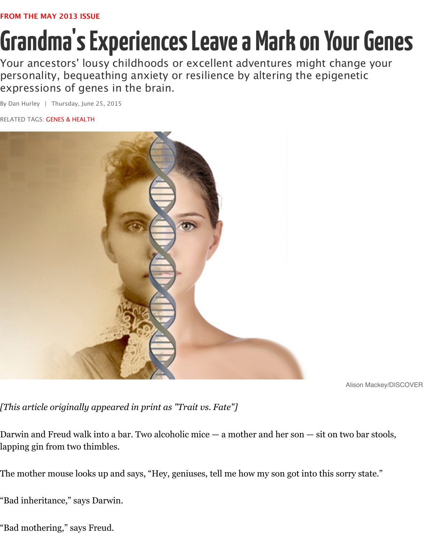personality, bequeathing anxiety or resilience by altering the epigenet [expressions of gene](http://discovermagazine.com/2013/may)s in the brain.

By Dan Hurley | Thursday, June 25, 2015

RELATED TAGS: **GENES & HEALTH** 



Aliso

*[This article originally appeared in print as "Trait vs. Fate"]*

Darwin and Freud walk into a bar. Two alcoholic mice  $-$  a mother and her son  $-$  sit on two  $\mathbf b$ lapping gin from two thimbles.

The mother mouse looks up and says, "Hey, geniuses, tell me how my son got into this sorry s

"Bad inheritance," says Darwin.

"Bad mothering," says Freud.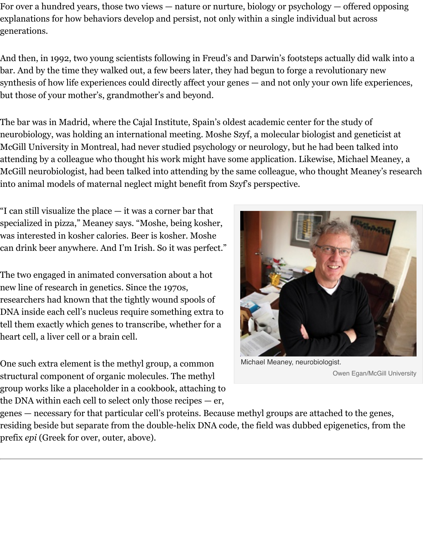bar. And by the time they walked out, a few beers later, they had begun to forge a revolutionary new synthesis of how life experiences could directly affect your genes — and not only your own life but those of your mother's, grandmother's and beyond.

The bar was in Madrid, where the Cajal Institute, Spain's oldest academic center for the study neurobiology, was holding an international meeting. Moshe Szyf, a molecular biologist and g McGill University in Montreal, had never studied psychology or neurology, but he had been t attending by a colleague who thought his work might have some application. Likewise, Micha McGill neurobiologist, had been talked into attending by the same colleague, who thought Meane into animal models of maternal neglect might benefit from Szyf's perspective.

"I can still visualize the place — it was a corner bar that specialized in pizza," Meaney says. "Moshe, being kosher, was interested in kosher calories. Beer is kosher. Moshe can drink beer anywhere. And I'm Irish. So it was perfect."

The two engaged in animated conversation about a hot new line of research in genetics. Since the 1970s, researchers had known that the tightly wound spools of DNA inside each cell's nucleus require something extra to tell them exactly which genes to transcribe, whether for a heart cell, a liver cell or a brain cell.

One such extra element is the methyl group, a common structural component of organic molecules. The methyl group works like a placeholder in a cookbook, attaching to the DNA within each cell to select only those recipes — er,



Michael Meaney, neurobiologist. Owen Eg

genes — necessary for that particular cell's proteins. Because methyl groups are attached to th residing beside but separate from the double-helix DNA code, the field was dubbed epigeneti prefix *epi* (Greek for over, outer, above).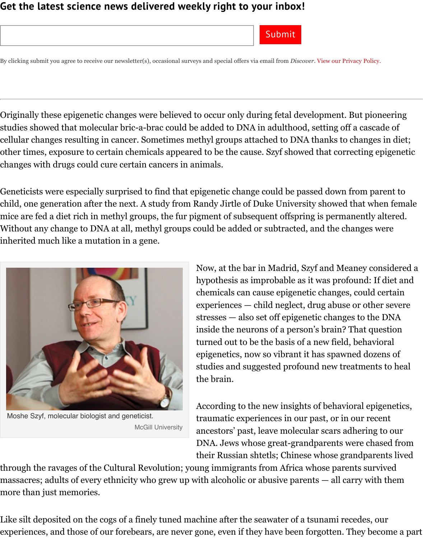Originally these epigenetic changes were believed to occur only during fetal development. Bu studies showed that molecular bric-a-brac could be added to DNA in adulthood, setting off a cellular changes resulting in cancer. Sometimes methyl groups attached to DNA thanks to ch other times, exposure to certain chemicals appeared to be the cause. Szyf showed that correct changes with drugs could cure certain cancers in animals.

Geneticists were especially surprised to find that epigenetic change could be passed down fro child, one generation after the next. A study from Randy Jirtle of Duke University showed that mice are fed a diet rich in methyl groups, the fur pigment of subsequent offspring is permane Without any change to DNA at all, methyl groups could be added or subtracted, and the chan inherited much like a mutation in a gene.



Moshe Szyf, molecular biologist and geneticist. McGill University

Now, at the bar in Madrid, Szyf and Meane hypothesis as improbable as it was profound chemicals can cause epigenetic changes, containexperiences — child neglect, drug abuse or  $stresses - also set of epigenetic changes to the same set.$ inside the neurons of a person's brain? That turned out to be the basis of a new field, behavioral epigenetics, now so vibrant it has spawned studies and suggested profound new treats the brain.

According to the new insights of behavioral episode. traumatic experiences in our past, or in our ancestors' past, leave molecular scars adhering DNA. Jews whose great-grandparents were their Russian shtetls; Chinese whose grand

t[hrough the ravages of the Cultural Revolution;](http://discovermagazine.com/sitefiles/resources/image.aspx?item=%7BA26F8B9E-BCDD-4E56-8F90-2835EE952108%7D&mw=900&mh=600) young immigrants from Africa whose parents massacres; adults of every ethnicity who grew up with alcoholic or abusive parents — all carry more than just memories.

Like silt deposited on the cogs of a finely tuned machine after the seawater of a tsunami reced experiences, and those of our forebears, are never gone, even if they have been forgotten. The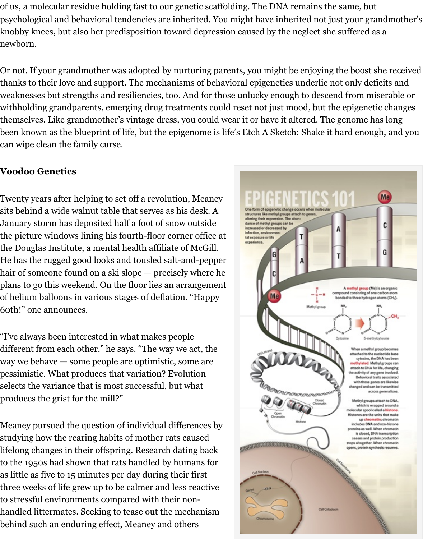Or not. If your grandmother was adopted by nurturing parents, you might be enjoying the boost she received thanks to their love and support. The mechanisms of behavioral epigenetics underlie not only weaknesses but strengths and resiliencies, too. And for those unlucky enough to descend from withholding grandparents, emerging drug treatments could reset not just mood, but the epig themselves. Like grandmother's vintage dress, you could wear it or have it altered. The genor been known as the blueprint of life, but the epigenome is life's Etch A Sketch: Shake it hard e can wipe clean the family curse.

# **Voodoo Genetics**

Twenty years after helping to set off a revolution, Meaney sits behind a wide walnut table that serves as his desk. A January storm has deposited half a foot of snow outside the picture windows lining his fourth-floor corner office at the Douglas Institute, a mental health affiliate of McGill. He has the rugged good looks and tousled salt-and-pepper hair of someone found on a ski slope — precisely where he plans to go this weekend. On the floor lies an arrangement of helium balloons in various stages of deflation. "Happy 60th!" one announces.

"I've always been interested in what makes people different from each other," he says. "The way we act, the way we behave — some people are optimistic, some are pessimistic. What produces that variation? Evolution selects the variance that is most successful, but what produces the grist for the mill?"

Meaney pursued the question of individual differences by studying how the rearing habits of mother rats caused lifelong changes in their offspring. Research dating back to the 1950s had shown that rats handled by humans for as little as five to 15 minutes per day during their first three weeks of life grew up to be calmer and less reactive to stressful environments compared with their nonhandled littermates. Seeking to tease out the mechanism behind such an enduring effect, Meaney and others

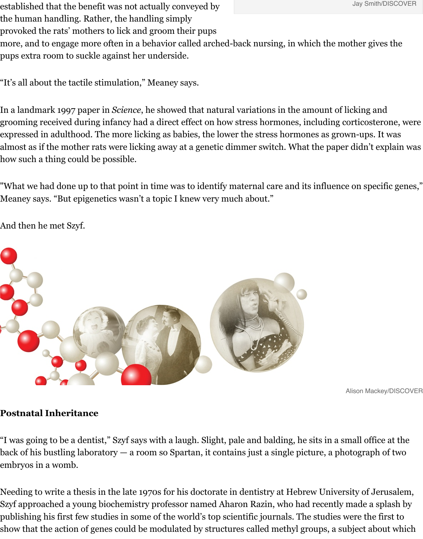"It's all about the tactile stimulation," Meaney says.

In a landmark 1997 paper in *Science*, he showed that natural variations in the amount of licki grooming received during infancy had a direct effect on how stress hormones, including corti expressed in adulthood. The more licking as babies, the lower the stress hormones as grownalmost as if the mother rats were licking away at a genetic dimmer switch. What the paper die how such a thing could be possible.

"What we had done up to that point in time was to identify maternal care and its influence or Meaney says. "But epigenetics wasn't a topic I knew very much about."

And then he met Szyf.



Aliso

# **Postnatal Inheritance**

["I was going to be a dentist," Szyf says with a laugh. Slight, pale and balding, he sits](http://discovermagazine.com/sitefiles/resources/image.aspx?item=%7B00B45781-560B-497B-820F-2A9B646029E9%7D&mw=900&mh=600) in a smal back of his bustling laboratory  $-$  a room so Spartan, it contains just a single picture, a photog embryos in a womb.

Needing to write a thesis in the late 1970s for his doctorate in dentistry at Hebrew University Szyf approached a young biochemistry professor named Aharon Razin, who had recently mad publishing his first few studies in some of the world's top scientific journals. The studies were show that the action of genes could be modulated by structures called methyl groups, a subje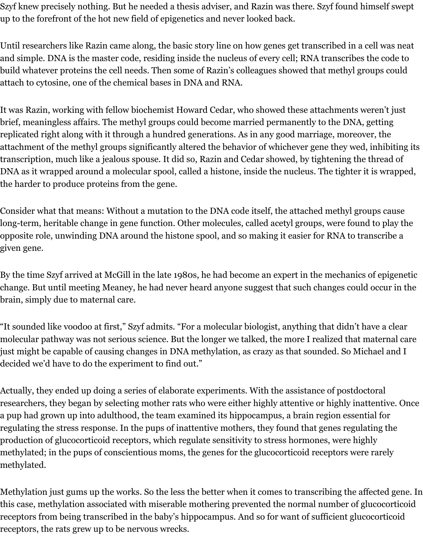Szyf knew precisely nothing. But he needed a thesis adviser, and Razin was there. Szyf found himself swept up to the forefront of the hot new field of epigenetics and never looked back.

Until researchers like Razin came along, the basic story line on how genes get transcribed in a cell was neat and simple. DNA is the master code, residing inside the nucleus of every cell; RNA transcribes the code to build whatever proteins the cell needs. Then some of Razin's colleagues showed that methyl groups could attach to cytosine, one of the chemical bases in DNA and RNA.

It was Razin, working with fellow biochemist Howard Cedar, who showed these attachments weren't just brief, meaningless affairs. The methyl groups could become married permanently to the DNA, getting replicated right along with it through a hundred generations. As in any good marriage, moreover, the attachment of the methyl groups significantly altered the behavior of whichever gene they wed, inhibiting its transcription, much like a jealous spouse. It did so, Razin and Cedar showed, by tightening the thread of DNA as it wrapped around a molecular spool, called a histone, inside the nucleus. The tighter it is wrapped, the harder to produce proteins from the gene.

Consider what that means: Without a mutation to the DNA code itself, the attached methyl groups cause long-term, heritable change in gene function. Other molecules, called acetyl groups, were found to play the opposite role, unwinding DNA around the histone spool, and so making it easier for RNA to transcribe a given gene.

By the time Szyf arrived at McGill in the late 1980s, he had become an expert in the mechanics of epigenetic change. But until meeting Meaney, he had never heard anyone suggest that such changes could occur in the brain, simply due to maternal care.

"It sounded like voodoo at first," Szyf admits. "For a molecular biologist, anything that didn't have a clear molecular pathway was not serious science. But the longer we talked, the more I realized that maternal care just might be capable of causing changes in DNA methylation, as crazy as that sounded. So Michael and I decided we'd have to do the experiment to find out."

Actually, they ended up doing a series of elaborate experiments. With the assistance of postdoctoral researchers, they began by selecting mother rats who were either highly attentive or highly inattentive. Once a pup had grown up into adulthood, the team examined its hippocampus, a brain region essential for regulating the stress response. In the pups of inattentive mothers, they found that genes regulating the production of glucocorticoid receptors, which regulate sensitivity to stress hormones, were highly methylated; in the pups of conscientious moms, the genes for the glucocorticoid receptors were rarely methylated.

Methylation just gums up the works. So the less the better when it comes to transcribing the affected gene. In this case, methylation associated with miserable mothering prevented the normal number of glucocorticoid receptors from being transcribed in the baby's hippocampus. And so for want of sufficient glucocorticoid receptors, the rats grew up to be nervous wrecks.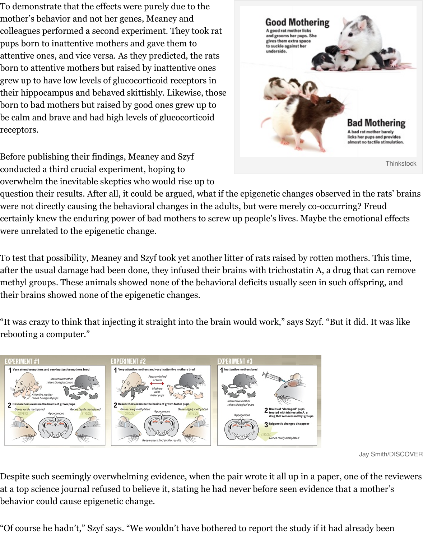grew up to have low levels of glucocorticoid receptors in their hippocampus and behaved skittishly. Likewise, those born to bad mothers but raised by good ones grew up to be calm and brave and had high levels of glucocorticoid receptors.



Jay Smith/DISCOVER

Before publishing their findings, Meaney and Szyf conducted a third crucial experiment, hoping to overwhelm the inevitable skeptics who would rise up to

question their results. After all, it could be argued, what if the epigenetic changes observed in were not directly causing the behavioral changes in the adults, but were merely co-occurring? certainly knew the enduring power of bad mothers to screw up people's lives. Maybe the emo were unrelated to the epigenetic change.

To test that possibility, Meaney and Szyf took yet another litter of rats raised by rotten mothe after the usual damage had been done, they infused their brains with trichostatin A, a drug that methyl groups. These animals showed none of the behavioral deficits usually seen in such off their brains showed none of the epigenetic changes.

"It was crazy to think that injecting it straight into the brain would work," says Szyf. "But it  $\mathrm{d}\mathrm{.}$ rebooting a computer."



[Despite such seemingly overwhelming evidence, when the pair wrote it all up in a p](http://discovermagazine.com/~/media/Images/Issues/2013/May/trait-7.jpg)aper, one at a top science journal refused to believe it, stating he had never before seen evidence that a behavior could cause epigenetic change.

"Of course he hadn't," Szyf says. "We wouldn't have bothered to report the study if it had alre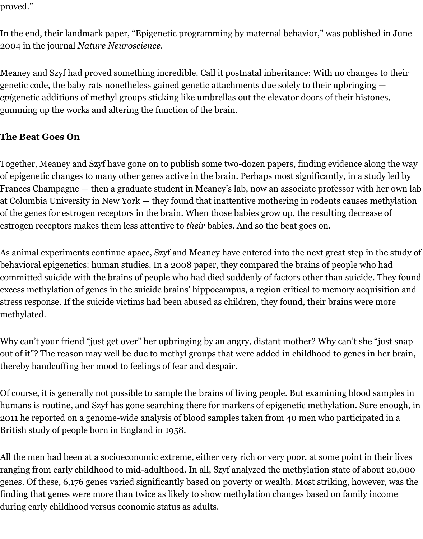proved."

In the end, their landmark paper, "Epigenetic programming by maternal behavior," was published in June 2004 in the journal *Nature Neuroscience*.

Meaney and Szyf had proved something incredible. Call it postnatal inheritance: With no changes to their genetic code, the baby rats nonetheless gained genetic attachments due solely to their upbringing *epi*genetic additions of methyl groups sticking like umbrellas out the elevator doors of their histones, gumming up the works and altering the function of the brain.

# **The Beat Goes On**

Together, Meaney and Szyf have gone on to publish some two-dozen papers, finding evidence along the way of epigenetic changes to many other genes active in the brain. Perhaps most significantly, in a study led by Frances Champagne — then a graduate student in Meaney's lab, now an associate professor with her own lab at Columbia University in New York — they found that inattentive mothering in rodents causes methylation of the genes for estrogen receptors in the brain. When those babies grow up, the resulting decrease of estrogen receptors makes them less attentive to *their* babies. And so the beat goes on.

As animal experiments continue apace, Szyf and Meaney have entered into the next great step in the study of behavioral epigenetics: human studies. In a 2008 paper, they compared the brains of people who had committed suicide with the brains of people who had died suddenly of factors other than suicide. They found excess methylation of genes in the suicide brains' hippocampus, a region critical to memory acquisition and stress response. If the suicide victims had been abused as children, they found, their brains were more methylated.

Why can't your friend "just get over" her upbringing by an angry, distant mother? Why can't she "just snap out of it"? The reason may well be due to methyl groups that were added in childhood to genes in her brain, thereby handcuffing her mood to feelings of fear and despair.

Of course, it is generally not possible to sample the brains of living people. But examining blood samples in humans is routine, and Szyf has gone searching there for markers of epigenetic methylation. Sure enough, in 2011 he reported on a genome-wide analysis of blood samples taken from 40 men who participated in a British study of people born in England in 1958.

All the men had been at a socioeconomic extreme, either very rich or very poor, at some point in their lives ranging from early childhood to mid-adulthood. In all, Szyf analyzed the methylation state of about 20,000 genes. Of these, 6,176 genes varied significantly based on poverty or wealth. Most striking, however, was the finding that genes were more than twice as likely to show methylation changes based on family income during early childhood versus economic status as adults.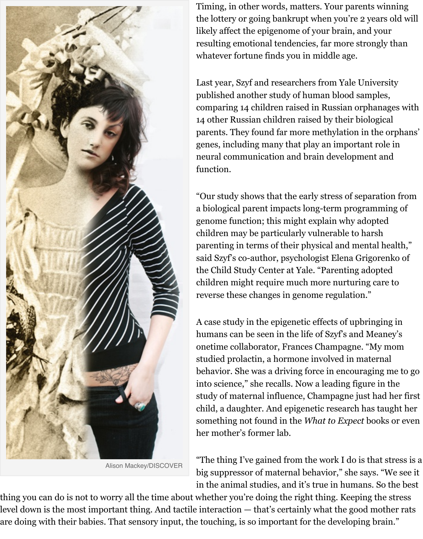

Alison Mackey/DISCOVER

Last year, Szyf and researchers from Yale 1 published another study of human blood s comparing 14 children raised in Russian or 14 other Russian children raised by their b parents. They found far more methylation genes, including many that play an import neural communication and brain development and  $\alpha$ function.

"Our study shows that the early stress of separation a biological parent impacts long-term prog genome function; this might explain why a children may be particularly vulnerable to parenting in terms of their physical and m said Szyf's co-author, psychologist Elena G the Child Study Center at Yale. "Parenting children might require much more nurtur reverse these changes in genome regulation.

A case study in the epigenetic effects of up humans can be seen in the life of Szyf's and onetime collaborator, Frances Champagne. studied prolactin, a hormone involved in r behavior. She was a driving force in encouraging into science," she recalls. Now a leading figure study of maternal influence, Champagne just child, a daughter. And epigenetic research something not found in the *What to Expect* books on the *What to Expecter* books on the *What to Expecter* books on the *what* to *Expecter* books on the *what* to *Expecter* books on the *what* to *Expecter* books on the her mother's former lab.

"The thing I've gained from the work I do  $\overline{\phantom{a}}$ big suppressor of maternal behavior," she in the animal studies, and it's true in humans.

thing you can do is not to worry all the time about whether you're doing the right thing. Keep level down is the most important thing. And tactile interaction — that's certainly what the go a[re doing with their babies. That sensory input,](http://discovermagazine.com/sitefiles/resources/image.aspx?item=%7BA3649D30-68F3-4E4D-A3DC-0CD80BFE1377%7D&mw=900&mh=600) the touching, is so important for the developi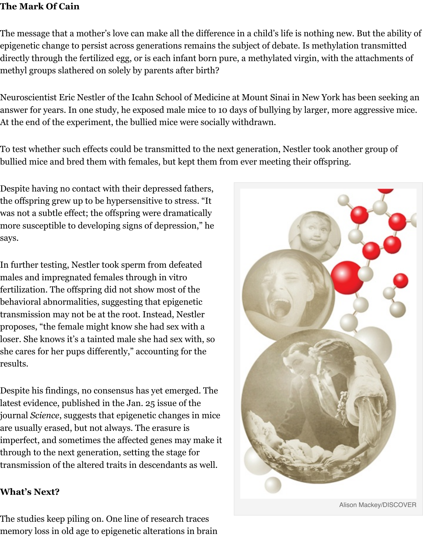#### methyl groups slathered on solely by parents after birth?

Neuroscientist Eric Nestler of the Icahn School of Medicine at Mount Sinai in New York has l answer for years. In one study, he exposed male mice to 10 days of bullying by larger, more ag At the end of the experiment, the bullied mice were socially withdrawn.

To test whether such effects could be transmitted to the next generation, Nestler took anothe bullied mice and bred them with females, but kept them from ever meeting their offspring.

Despite having no contact with their depressed fathers, the offspring grew up to be hypersensitive to stress. "It was not a subtle effect; the offspring were dramatically more susceptible to developing signs of depression," he says.

In further testing, Nestler took sperm from defeated males and impregnated females through in vitro fertilization. The offspring did not show most of the behavioral abnormalities, suggesting that epigenetic transmission may not be at the root. Instead, Nestler proposes, "the female might know she had sex with a loser. She knows it's a tainted male she had sex with, so she cares for her pups differently," accounting for the results.

Despite his findings, no consensus has yet emerged. The latest evidence, published in the Jan. 25 issue of the journal *Science*, suggests that epigenetic changes in mice are usually erased, but not always. The erasure is imperfect, and sometimes the affected genes may make it through to the next generation, setting the stage for transmission of the altered traits in descendants as well.

### **What's Next?**

The studies keep piling on. One line of research traces memory loss in old age to epigenetic alterations in brain